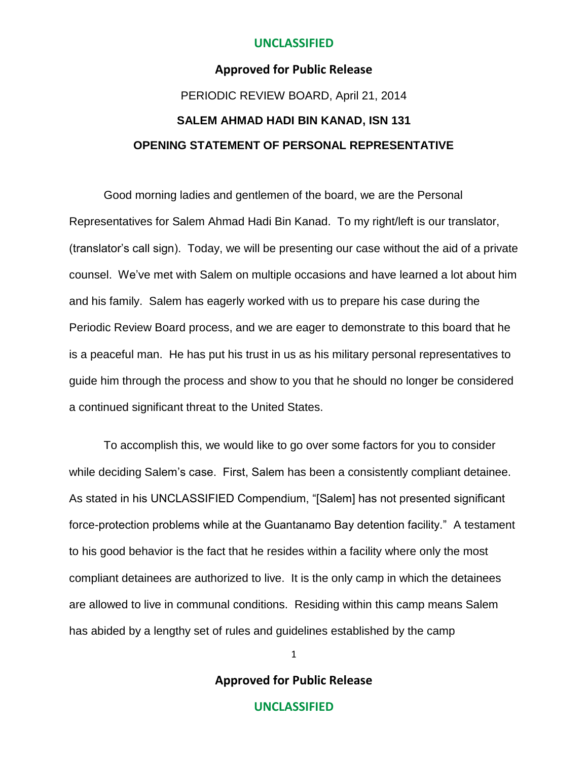### **Approved for Public Release**

# PERIODIC REVIEW BOARD, April 21, 2014 **SALEM AHMAD HADI BIN KANAD, ISN 131 OPENING STATEMENT OF PERSONAL REPRESENTATIVE**

Good morning ladies and gentlemen of the board, we are the Personal Representatives for Salem Ahmad Hadi Bin Kanad. To my right/left is our translator, (translator's call sign). Today, we will be presenting our case without the aid of a private counsel. We've met with Salem on multiple occasions and have learned a lot about him and his family. Salem has eagerly worked with us to prepare his case during the Periodic Review Board process, and we are eager to demonstrate to this board that he is a peaceful man. He has put his trust in us as his military personal representatives to guide him through the process and show to you that he should no longer be considered a continued significant threat to the United States.

To accomplish this, we would like to go over some factors for you to consider while deciding Salem's case. First, Salem has been a consistently compliant detainee. As stated in his UNCLASSIFIED Compendium, "[Salem] has not presented significant force-protection problems while at the Guantanamo Bay detention facility." A testament to his good behavior is the fact that he resides within a facility where only the most compliant detainees are authorized to live. It is the only camp in which the detainees are allowed to live in communal conditions. Residing within this camp means Salem has abided by a lengthy set of rules and guidelines established by the camp

1

**Approved for Public Release**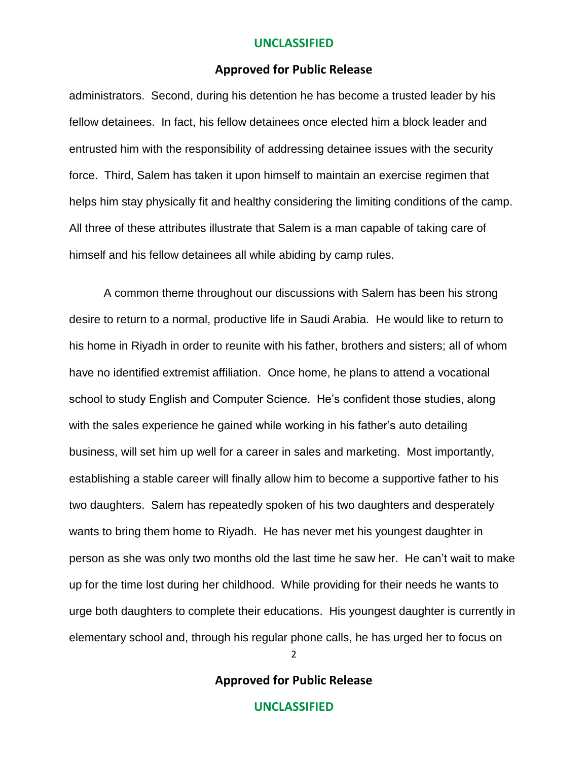#### **Approved for Public Release**

administrators. Second, during his detention he has become a trusted leader by his fellow detainees. In fact, his fellow detainees once elected him a block leader and entrusted him with the responsibility of addressing detainee issues with the security force. Third, Salem has taken it upon himself to maintain an exercise regimen that helps him stay physically fit and healthy considering the limiting conditions of the camp. All three of these attributes illustrate that Salem is a man capable of taking care of himself and his fellow detainees all while abiding by camp rules.

A common theme throughout our discussions with Salem has been his strong desire to return to a normal, productive life in Saudi Arabia. He would like to return to his home in Riyadh in order to reunite with his father, brothers and sisters; all of whom have no identified extremist affiliation. Once home, he plans to attend a vocational school to study English and Computer Science. He's confident those studies, along with the sales experience he gained while working in his father's auto detailing business, will set him up well for a career in sales and marketing. Most importantly, establishing a stable career will finally allow him to become a supportive father to his two daughters. Salem has repeatedly spoken of his two daughters and desperately wants to bring them home to Riyadh. He has never met his youngest daughter in person as she was only two months old the last time he saw her. He can't wait to make up for the time lost during her childhood. While providing for their needs he wants to urge both daughters to complete their educations. His youngest daughter is currently in elementary school and, through his regular phone calls, he has urged her to focus on

2

**Approved for Public Release**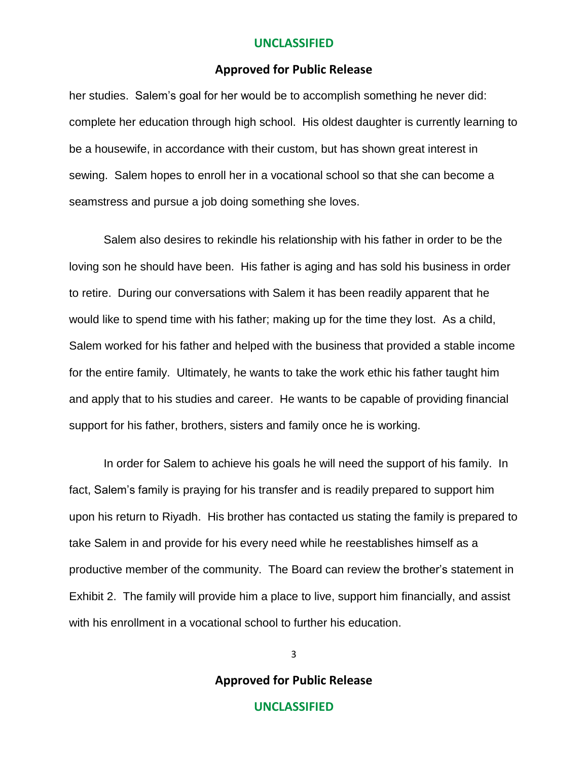#### **Approved for Public Release**

her studies. Salem's goal for her would be to accomplish something he never did: complete her education through high school. His oldest daughter is currently learning to be a housewife, in accordance with their custom, but has shown great interest in sewing. Salem hopes to enroll her in a vocational school so that she can become a seamstress and pursue a job doing something she loves.

Salem also desires to rekindle his relationship with his father in order to be the loving son he should have been. His father is aging and has sold his business in order to retire. During our conversations with Salem it has been readily apparent that he would like to spend time with his father; making up for the time they lost. As a child, Salem worked for his father and helped with the business that provided a stable income for the entire family. Ultimately, he wants to take the work ethic his father taught him and apply that to his studies and career. He wants to be capable of providing financial support for his father, brothers, sisters and family once he is working.

In order for Salem to achieve his goals he will need the support of his family. In fact, Salem's family is praying for his transfer and is readily prepared to support him upon his return to Riyadh. His brother has contacted us stating the family is prepared to take Salem in and provide for his every need while he reestablishes himself as a productive member of the community. The Board can review the brother's statement in Exhibit 2. The family will provide him a place to live, support him financially, and assist with his enrollment in a vocational school to further his education.

**Approved for Public Release**

3